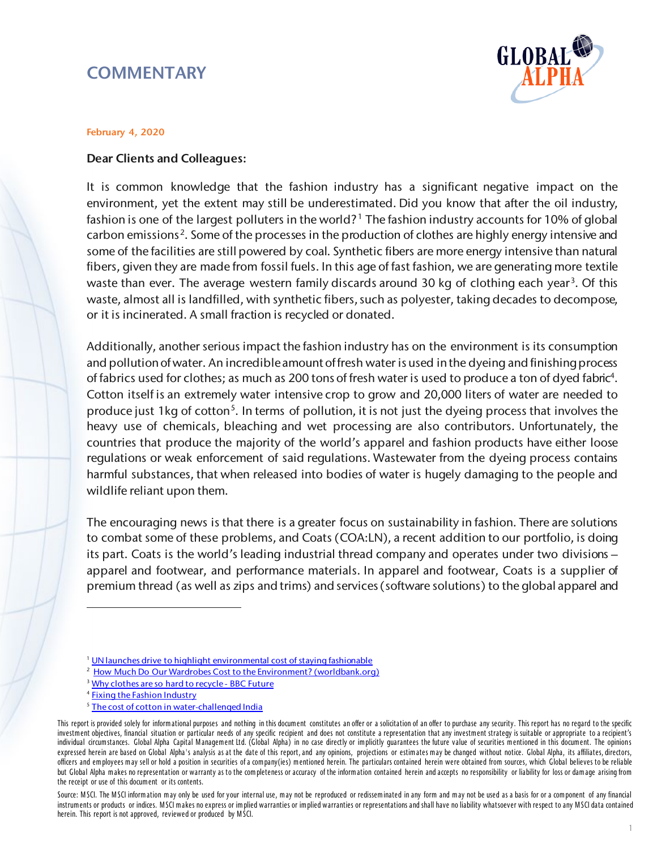# **COMMENTARY**



#### February 4, 2020

### Dear Clients and Colleagues:

It is common knowledge that the fashion industry has a significant negative impact on the environment, yet the extent may still be underestimated. Did you know that after the oil industry, fashion is one of the largest polluters in the world?<sup>[1](#page-0-0)</sup> The fashion industry accounts for 10% of global carbon emissions<sup>[2](#page-0-1)</sup>. Some of the processes in the production of clothes are highly energy intensive and some of the facilities are still powered by coal. Synthetic fibers are more energy intensive than natural fibers, given they are made from fossil fuels. In this age of fast fashion, we are generating more textile waste than ever. The average western family discards around [3](#page-0-2)0 kg of clothing each year<sup>3</sup>. Of this waste, almost all is landfilled, with synthetic fibers, such as polyester, taking decades to decompose, or it is incinerated. A small fraction is recycled or donated.

Additionally, another serious impact the fashion industry has on the environment is its consumption and pollution of water. An incredible amount of fresh water is used in the dyeing and finishing process of fabrics used for clothes; as much as 200 tons of fresh water is used to produce a ton of dyed fabri[c4.](#page-0-3) Cotton itself is an extremely water intensive crop to grow and 20,000 liters of water are needed to produce just 1kg of cotton<sup>[5](#page-0-4)</sup>. In terms of pollution, it is not just the dyeing process that involves the heavy use of chemicals, bleaching and wet processing are also contributors. Unfortunately, the countries that produce the majority of the world's apparel and fashion products have either loose regulations or weak enforcement of said regulations. Wastewater from the dyeing process contains harmful substances, that when released into bodies of water is hugely damaging to the people and wildlife reliant upon them.

The encouraging news is that there is a greater focus on sustainability in fashion. There are solutions to combat some of these problems, and Coats (COA:LN), a recent addition to our portfolio, is doing its part. Coats is the world's leading industrial thread company and operates under two divisions – apparel and footwear, and performance materials. In apparel and footwear, Coats is a supplier of premium thread (as well as zips and trims) and services (software solutions) to the global apparel and

 $\overline{a}$ 

<sup>&</sup>lt;sup>1</sup> UN launches drive to highlight environmental cost of staying fashionable

<sup>&</sup>lt;sup>2</sup> [How Much Do Our Wardrobes Cost to the Environment? \(worldbank.org\)](https://www.worldbank.org/en/news/feature/2019/09/23/costo-moda-medio-ambiente#:%7E:text=The%20fashion%20industry%20is%20responsible,more%20than%2050%20%25%20by%202030)

<sup>&</sup>lt;sup>3</sup> [Why clothes are so hard to recycle - BBC Future](https://www.bbc.com/future/article/20200710-why-clothes-are-so-hard-to-recycle)

<sup>4</sup> [Fixing the Fashion Industry](https://www.nrdc.org/stories/fixing-fashion-industry)

<sup>&</sup>lt;sup>5</sup> [The cost of cotton in water-challenged India](https://www.theguardian.com/sustainable-business/2015/mar/20/cost-cotton-water-challenged-india-world-water-day)

<span id="page-0-4"></span><span id="page-0-3"></span><span id="page-0-2"></span><span id="page-0-1"></span><span id="page-0-0"></span>This report is provided solely for informational purposes and nothing in this document constitutes an offer or a solicitation of an offer to purchase any security. This report has no regard to the specific investm ent objectives, financial situation or particular needs of any specific recipient and does not constitute a representation that any investm ent strategy is suitable or appropriate to a recipient's individual circumstances. Global Alpha Capital Management Ltd. (Global Alpha) in no case directly or implicitly guarantees the future value of securities mentioned in this document. The opinions expressed herein are based on Global Alpha's analysis as at the date of this report, and any opinions, projections or estim ates m ay be changed without notice. Global Alpha, its affiliates, directors, officers and em ployees m ay sell or hold a position in securities of a com pany(ies) m entioned herein. The particulars contained herein were obtained from sources, which Global believes to be reliable but Global Alpha makes no representation or warranty as to the completeness or accuracy of the information contained herein and accepts no responsibility or liability for loss or damage arising from the receipt or use of this docum ent or its contents.

Source: MSCI. The MSCI information may only be used for your internal use, may not be reproduced or redisseminated in any form and may not be used as a basis for or a component of any financial instruments or products or indices. MSCI makes no express or implied warranties or representations and shall have no liability whatsoever with respect to any MSCI data contained herein. This report is not approved, reviewed or produced by M SCI.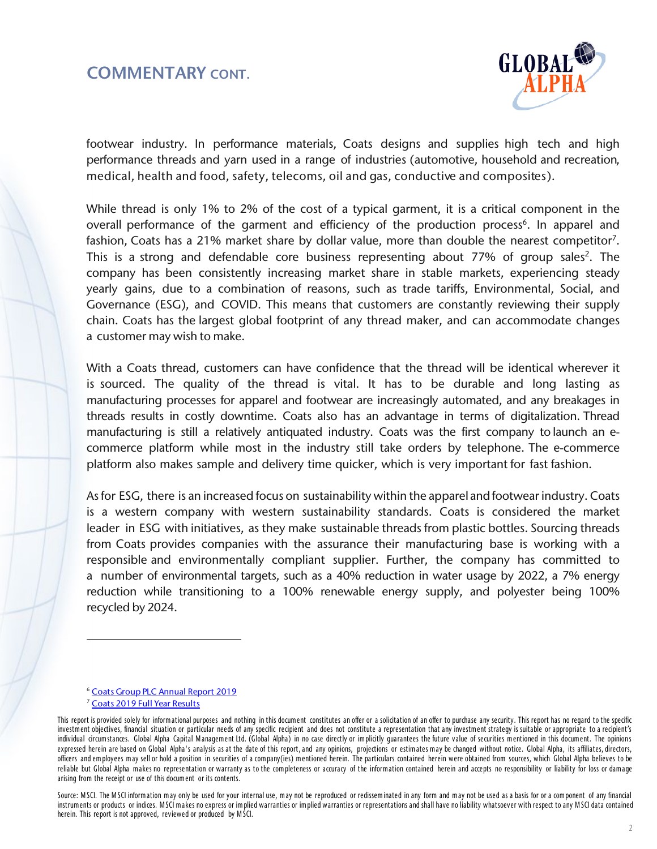### COMMENTARY CONT.



footwear industry. In performance materials, Coats designs and supplies high tech and high performance threads and yarn used in a range of industries (automotive, household and recreation, medical, health and food, safety, telecoms, oil and gas, conductive and composites).

While thread is only 1% to 2% of the cost of a typical garment, it is a critical component in the overall performance of the garment and efficiency of the production process<sup>[6](#page-1-0)</sup>. In apparel and fashion, Coats has a 21% market share by dollar value, more than double the nearest competitor<sup>[7](#page-1-1)</sup>. This is a strong and defendable core business representing about 77% of group sales<sup>2</sup>. The company has been consistently increasing market share in stable markets, experiencing steady yearly gains, due to a combination of reasons, such as trade tariffs, Environmental, Social, and Governance (ESG), and COVID. This means that customers are constantly reviewing their supply chain. Coats has the largest global footprint of any thread maker, and can accommodate changes a customer may wish to make.

With a Coats thread, customers can have confidence that the thread will be identical wherever it is sourced. The quality of the thread is vital. It has to be durable and long lasting as manufacturing processes for apparel and footwear are increasingly automated, and any breakages in threads results in costly downtime. Coats also has an advantage in terms of digitalization. Thread manufacturing is still a relatively antiquated industry. Coats was the first company to launch an ecommerce platform while most in the industry still take orders by telephone. The e-commerce platform also makes sample and delivery time quicker, which is very important for fast fashion.

As for ESG, there is an increased focus on sustainability within the apparel and footwear industry. Coats is a western company with western sustainability standards. Coats is considered the market leader in ESG with initiatives, as they make sustainable threads from plastic bottles. Sourcing threads from Coats provides companies with the assurance their manufacturing base is working with a responsible and environmentally compliant supplier. Further, the company has committed to a number of environmental targets, such as a 40% reduction in water usage by 2022, a 7% energy reduction while transitioning to a 100% renewable energy supply, and polyester being 100% recycled by 2024.

<sup>6</sup> [Coats Group PLC Annual Report 2019](https://www.coats.com/en/Investors/Results)

<sup>7</sup> [Coats 2019 Full](https://www.coats.com/en/Investors/Results/2020/2019-Full-Year-results/Result-Article) Year Results

<span id="page-1-1"></span><span id="page-1-0"></span>This report is provided solely for informational purposes and nothing in this document constitutes an offer or a solicitation of an offer to purchase any security. This report has no regard to the specific investm ent objectives, financial situation or particular needs of any specific recipient and does not constitute a representation that any investm ent strategy is suitable or appropriate to a recipient's individual circumstances. Global Alpha Capital Management Ltd. (Global Alpha) in no case directly or implicitly guarantees the future value of securities mentioned in this document. The opinions expressed herein are based on Global Alpha's analysis as at the date of this report, and any opinions, projections or estimates may be changed without notice. Global Alpha, its affiliates, directors, officers and em ployees m ay sell or hold a position in securities of a com pany(ies) m entioned herein. The particulars contained herein were obtained from sources, which Global Alpha believes to be reliable but Global Alpha makes no representation or warranty as to the completeness or accuracy of the information contained herein and accepts no responsibility or liability for loss or damage arising from the receipt or use of this document or its contents.

Source: MSCI. The MSCI information may only be used for your internal use, may not be reproduced or redisseminated in any form and may not be used as a basis for or a component of any financial instrum ents or products or indices. M SCI m akes no express or im plied warranties or im plied warranties or representations and shall have no liability whatsoever with respect to any M SCI data contained herein. This report is not approved, reviewed or produced by M SCI.